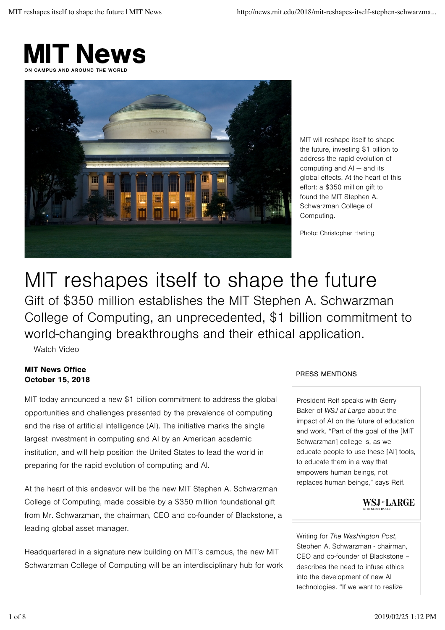



MIT will reshape itself to shape the future, investing \$1 billion to address the rapid evolution of computing and AI — and its global effects. At the heart of this effort: a \$350 million gift to found the MIT Stephen A. Schwarzman College of Computing.

Photo: Christopher Harting

# MIT reshapes itself to shape the future

Gift of \$350 million establishes the MIT Stephen A. Schwarzman College of Computing, an unprecedented, \$1 billion commitment to world-changing breakthroughs and their ethical application.

Watch Video

# MIT News Office October 15, 2018

MIT today announced a new \$1 billion commitment to address the global opportunities and challenges presented by the prevalence of computing and the rise of artificial intelligence (AI). The initiative marks the single largest investment in computing and AI by an American academic institution, and will help position the United States to lead the world in preparing for the rapid evolution of computing and AI.

At the heart of this endeavor will be the new MIT Stephen A. Schwarzman College of Computing, made possible by a \$350 million foundational gift from Mr. Schwarzman, the chairman, CEO and co-founder of Blackstone, a leading global asset manager.

Headquartered in a signature new building on MIT's campus, the new MIT Schwarzman College of Computing will be an interdisciplinary hub for work

# PRESS MENTIONS

President Reif speaks with Gerry Baker of *WSJ at Large* about the impact of AI on the future of education and work. "Part of the goal of the [MIT Schwarzman] college is, as we educate people to use these [AI] tools, to educate them in a way that empowers human beings, not replaces human beings," says Reif.



Writing for *The Washington Post*, Stephen A. Schwarzman - chairman, CEO and co-founder of Blackstone – describes the need to infuse ethics into the development of new AI technologies. "If we want to realize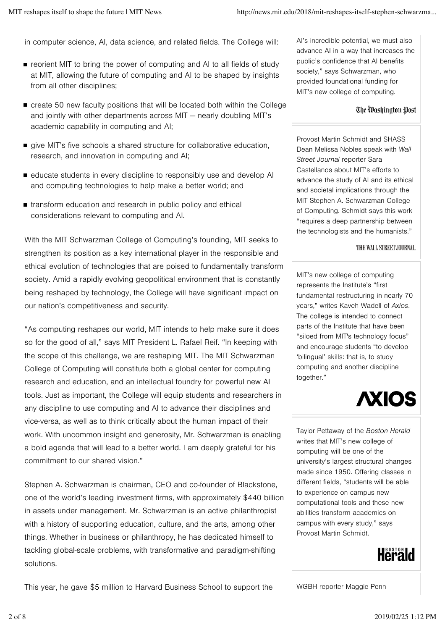in computer science, AI, data science, and related fields. The College will:

- reorient MIT to bring the power of computing and AI to all fields of study at MIT, allowing the future of computing and AI to be shaped by insights from all other disciplines;
- create 50 new faculty positions that will be located both within the College and jointly with other departments across MIT — nearly doubling MIT's academic capability in computing and AI;
- give MIT's five schools a shared structure for collaborative education, research, and innovation in computing and AI;
- educate students in every discipline to responsibly use and develop AI and computing technologies to help make a better world; and
- **transform education and research in public policy and ethical** considerations relevant to computing and AI.

With the MIT Schwarzman College of Computing's founding, MIT seeks to strengthen its position as a key international player in the responsible and ethical evolution of technologies that are poised to fundamentally transform society. Amid a rapidly evolving geopolitical environment that is constantly being reshaped by technology, the College will have significant impact on our nation's competitiveness and security.

"As computing reshapes our world, MIT intends to help make sure it does so for the good of all," says MIT President L. Rafael Reif. "In keeping with the scope of this challenge, we are reshaping MIT. The MIT Schwarzman College of Computing will constitute both a global center for computing research and education, and an intellectual foundry for powerful new AI tools. Just as important, the College will equip students and researchers in any discipline to use computing and AI to advance their disciplines and vice-versa, as well as to think critically about the human impact of their work. With uncommon insight and generosity, Mr. Schwarzman is enabling a bold agenda that will lead to a better world. I am deeply grateful for his commitment to our shared vision."

Stephen A. Schwarzman is chairman, CEO and co-founder of Blackstone, one of the world's leading investment firms, with approximately \$440 billion in assets under management. Mr. Schwarzman is an active philanthropist with a history of supporting education, culture, and the arts, among other things. Whether in business or philanthropy, he has dedicated himself to tackling global-scale problems, with transformative and paradigm-shifting solutions.

AI's incredible potential, we must also advance AI in a way that increases the public's confidence that AI benefits society," says Schwarzman, who provided foundational funding for MIT's new college of computing.

#### The Washington Post

Provost Martin Schmidt and SHASS Dean Melissa Nobles speak with *Wall Street Journal* reporter Sara Castellanos about MIT's efforts to advance the study of AI and its ethical and societal implications through the MIT Stephen A. Schwarzman College of Computing. Schmidt says this work "requires a deep partnership between the technologists and the humanists."

#### THE WALL STREET JOURNAL.

MIT's new college of computing represents the Institute's "first fundamental restructuring in nearly 70 years," writes Kaveh Wadell of *Axios*. The college is intended to connect parts of the Institute that have been "siloed from MIT's technology focus" and encourage students "to develop 'bilingual' skills: that is, to study computing and another discipline together."



Taylor Pettaway of the *Boston Herald* writes that MIT's new college of computing will be one of the university's largest structural changes made since 1950. Offering classes in different fields, "students will be able to experience on campus new computational tools and these new abilities transform academics on campus with every study," says Provost Martin Schmidt.



This year, he gave \$5 million to Harvard Business School to support the

WGBH reporter Maggie Penn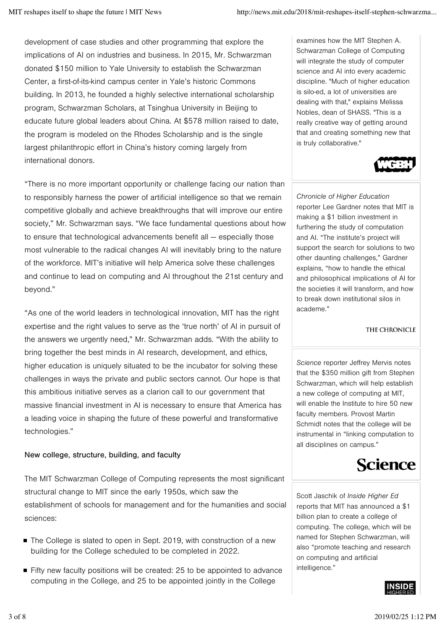development of case studies and other programming that explore the implications of AI on industries and business. In 2015, Mr. Schwarzman donated \$150 million to Yale University to establish the Schwarzman Center, a first-of-its-kind campus center in Yale's historic Commons building. In 2013, he founded a highly selective international scholarship program, Schwarzman Scholars, at Tsinghua University in Beijing to educate future global leaders about China. At \$578 million raised to date, the program is modeled on the Rhodes Scholarship and is the single largest philanthropic effort in China's history coming largely from international donors.

"There is no more important opportunity or challenge facing our nation than to responsibly harness the power of artificial intelligence so that we remain competitive globally and achieve breakthroughs that will improve our entire society," Mr. Schwarzman says. "We face fundamental questions about how to ensure that technological advancements benefit all — especially those most vulnerable to the radical changes AI will inevitably bring to the nature of the workforce. MIT's initiative will help America solve these challenges and continue to lead on computing and AI throughout the 21st century and beyond."

"As one of the world leaders in technological innovation, MIT has the right expertise and the right values to serve as the 'true north' of AI in pursuit of the answers we urgently need," Mr. Schwarzman adds. "With the ability to bring together the best minds in AI research, development, and ethics, higher education is uniquely situated to be the incubator for solving these challenges in ways the private and public sectors cannot. Our hope is that this ambitious initiative serves as a clarion call to our government that massive financial investment in AI is necessary to ensure that America has a leading voice in shaping the future of these powerful and transformative technologies."

# New college, structure, building, and faculty

The MIT Schwarzman College of Computing represents the most significant structural change to MIT since the early 1950s, which saw the establishment of schools for management and for the humanities and social sciences:

- The College is slated to open in Sept. 2019, with construction of a new building for the College scheduled to be completed in 2022.
- Fifty new faculty positions will be created: 25 to be appointed to advance computing in the College, and 25 to be appointed jointly in the College

examines how the MIT Stephen A. Schwarzman College of Computing will integrate the study of computer science and AI into every academic discipline. "Much of higher education is silo-ed, a lot of universities are dealing with that," explains Melissa Nobles, dean of SHASS. "This is a really creative way of getting around that and creating something new that is truly collaborative."



*Chronicle of Higher Education* reporter Lee Gardner notes that MIT is making a \$1 billion investment in furthering the study of computation and AI. "The institute's project will support the search for solutions to two other daunting challenges," Gardner explains, "how to handle the ethical and philosophical implications of AI for the societies it will transform, and how to break down institutional silos in academe."

# THE CHRONICLE

*Science* reporter Jeffrey Mervis notes that the \$350 million gift from Stephen Schwarzman, which will help establish a new college of computing at MIT, will enable the Institute to hire 50 new faculty members. Provost Martin Schmidt notes that the college will be instrumental in "linking computation to all disciplines on campus."



Scott Jaschik of *Inside Higher Ed* reports that MIT has announced a \$1 billion plan to create a college of computing. The college, which will be named for Stephen Schwarzman, will also "promote teaching and research on computing and artificial intelligence."

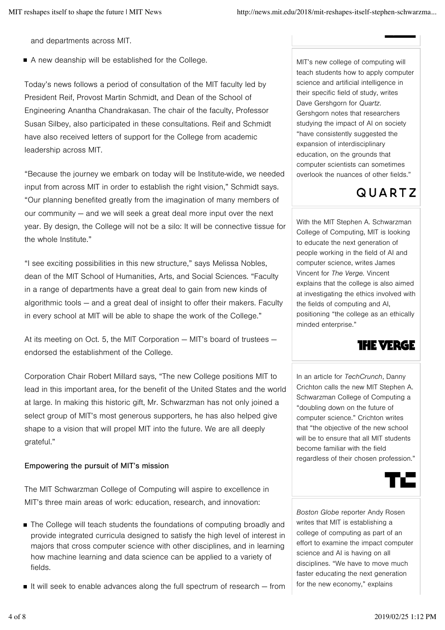and departments across MIT.

■ A new deanship will be established for the College.

Today's news follows a period of consultation of the MIT faculty led by President Reif, Provost Martin Schmidt, and Dean of the School of Engineering Anantha Chandrakasan. The chair of the faculty, Professor Susan Silbey, also participated in these consultations. Reif and Schmidt have also received letters of support for the College from academic leadership across MIT.

"Because the journey we embark on today will be Institute-wide, we needed input from across MIT in order to establish the right vision," Schmidt says. "Our planning benefited greatly from the imagination of many members of our community — and we will seek a great deal more input over the next year. By design, the College will not be a silo: It will be connective tissue for the whole Institute."

"I see exciting possibilities in this new structure," says Melissa Nobles, dean of the MIT School of Humanities, Arts, and Social Sciences. "Faculty in a range of departments have a great deal to gain from new kinds of algorithmic tools — and a great deal of insight to offer their makers. Faculty in every school at MIT will be able to shape the work of the College."

At its meeting on Oct. 5, the MIT Corporation — MIT's board of trustees endorsed the establishment of the College.

Corporation Chair Robert Millard says, "The new College positions MIT to lead in this important area, for the benefit of the United States and the world at large. In making this historic gift, Mr. Schwarzman has not only joined a select group of MIT's most generous supporters, he has also helped give shape to a vision that will propel MIT into the future. We are all deeply grateful."

# Empowering the pursuit of MIT's mission

The MIT Schwarzman College of Computing will aspire to excellence in MIT's three main areas of work: education, research, and innovation:

- The College will teach students the foundations of computing broadly and provide integrated curricula designed to satisfy the high level of interest in majors that cross computer science with other disciplines, and in learning how machine learning and data science can be applied to a variety of fields.
- It will seek to enable advances along the full spectrum of research  $-$  from

MIT's new college of computing will teach students how to apply computer science and artificial intelligence in their specific field of study, writes Dave Gershgorn for *Quartz*. Gershgorn notes that researchers studying the impact of AI on society "have consistently suggested the expansion of interdisciplinary education, on the grounds that computer scientists can sometimes overlook the nuances of other fields."

# **QUARTZ**

With the MIT Stephen A. Schwarzman College of Computing, MIT is looking to educate the next generation of people working in the field of AI and computer science, writes James Vincent for *The Verge.* Vincent explains that the college is also aimed at investigating the ethics involved with the fields of computing and AI, positioning "the college as an ethically minded enterprise."



In an article for *TechCrunch*, Danny Crichton calls the new MIT Stephen A. Schwarzman College of Computing a "doubling down on the future of computer science." Crichton writes that "the objective of the new school will be to ensure that all MIT students become familiar with the field regardless of their chosen profession."



*Boston Globe* reporter Andy Rosen writes that MIT is establishing a college of computing as part of an effort to examine the impact computer science and AI is having on all disciplines. "We have to move much faster educating the next generation for the new economy," explains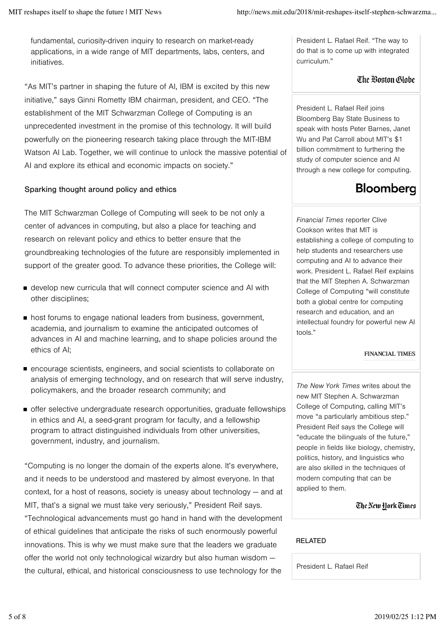fundamental, curiosity-driven inquiry to research on market-ready applications, in a wide range of MIT departments, labs, centers, and initiatives.

"As MIT's partner in shaping the future of AI, IBM is excited by this new initiative," says Ginni Rometty IBM chairman, president, and CEO. "The establishment of the MIT Schwarzman College of Computing is an unprecedented investment in the promise of this technology. It will build powerfully on the pioneering research taking place through the MIT-IBM Watson AI Lab. Together, we will continue to unlock the massive potential of AI and explore its ethical and economic impacts on society."

# Sparking thought around policy and ethics

The MIT Schwarzman College of Computing will seek to be not only a center of advances in computing, but also a place for teaching and research on relevant policy and ethics to better ensure that the groundbreaking technologies of the future are responsibly implemented in support of the greater good. To advance these priorities, the College will:

- develop new curricula that will connect computer science and AI with other disciplines;
- **host forums to engage national leaders from business, government,** academia, and journalism to examine the anticipated outcomes of advances in AI and machine learning, and to shape policies around the ethics of AI;
- encourage scientists, engineers, and social scientists to collaborate on analysis of emerging technology, and on research that will serve industry, policymakers, and the broader research community; and
- offer selective undergraduate research opportunities, graduate fellowships in ethics and AI, a seed-grant program for faculty, and a fellowship program to attract distinguished individuals from other universities, government, industry, and journalism.

"Computing is no longer the domain of the experts alone. It's everywhere, and it needs to be understood and mastered by almost everyone. In that context, for a host of reasons, society is uneasy about technology — and at MIT, that's a signal we must take very seriously," President Reif says. "Technological advancements must go hand in hand with the development of ethical guidelines that anticipate the risks of such enormously powerful innovations. This is why we must make sure that the leaders we graduate offer the world not only technological wizardry but also human wisdom the cultural, ethical, and historical consciousness to use technology for the

President L. Rafael Reif. "The way to do that is to come up with integrated curriculum."

# The Boston Globe

President L. Rafael Reif joins Bloomberg Bay State Business to speak with hosts Peter Barnes, Janet Wu and Pat Carroll about MIT's \$1 billion commitment to furthering the study of computer science and AI through a new college for computing.

# Bloomberg

*Financial Times* reporter Clive Cookson writes that MIT is establishing a college of computing to help students and researchers use computing and AI to advance their work. President L. Rafael Reif explains that the MIT Stephen A. Schwarzman College of Computing "will constitute both a global centre for computing research and education, and an intellectual foundry for powerful new AI tools."

# **FINANCIAL TIMES**

*The New York Times* writes about the new MIT Stephen A. Schwarzman College of Computing, calling MIT's move "a particularly ambitious step." President Reif says the College will "educate the bilinguals of the future," people in fields like biology, chemistry, politics, history, and linguistics who are also skilled in the techniques of modern computing that can be applied to them.

The New Hork Times

# RELATED

President L. Rafael Reif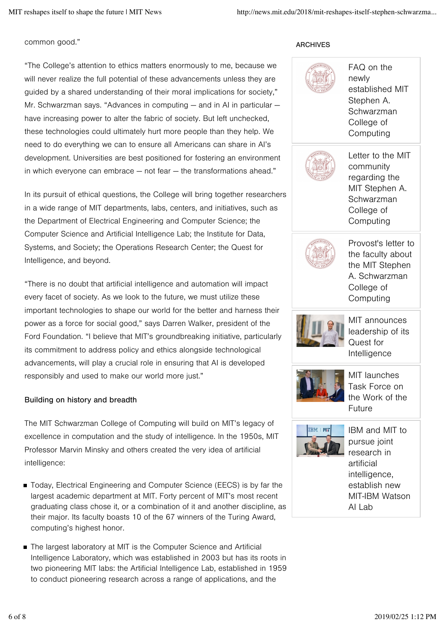#### common good."

# "The College's attention to ethics matters enormously to me, because we will never realize the full potential of these advancements unless they are guided by a shared understanding of their moral implications for society," Mr. Schwarzman says. "Advances in computing — and in AI in particular have increasing power to alter the fabric of society. But left unchecked, these technologies could ultimately hurt more people than they help. We need to do everything we can to ensure all Americans can share in AI's development. Universities are best positioned for fostering an environment in which everyone can embrace — not fear — the transformations ahead."

In its pursuit of ethical questions, the College will bring together researchers in a wide range of MIT departments, labs, centers, and initiatives, such as the Department of Electrical Engineering and Computer Science; the Computer Science and Artificial Intelligence Lab; the Institute for Data, Systems, and Society; the Operations Research Center; the Quest for Intelligence, and beyond.

"There is no doubt that artificial intelligence and automation will impact every facet of society. As we look to the future, we must utilize these important technologies to shape our world for the better and harness their power as a force for social good," says Darren Walker, president of the Ford Foundation. "I believe that MIT's groundbreaking initiative, particularly its commitment to address policy and ethics alongside technological advancements, will play a crucial role in ensuring that AI is developed responsibly and used to make our world more just."

# Building on history and breadth

The MIT Schwarzman College of Computing will build on MIT's legacy of excellence in computation and the study of intelligence. In the 1950s, MIT Professor Marvin Minsky and others created the very idea of artificial intelligence:

- Today, Electrical Engineering and Computer Science (EECS) is by far the largest academic department at MIT. Forty percent of MIT's most recent graduating class chose it, or a combination of it and another discipline, as their major. Its faculty boasts 10 of the 67 winners of the Turing Award, computing's highest honor.
- The largest laboratory at MIT is the Computer Science and Artificial Intelligence Laboratory, which was established in 2003 but has its roots in two pioneering MIT labs: the Artificial Intelligence Lab, established in 1959 to conduct pioneering research across a range of applications, and the

# ARCHIVES



FAQ on the newly established MIT Stephen A. Schwarzman College of **Computing** 



Letter to the MIT community regarding the MIT Stephen A. Schwarzman College of Computing



Provost's letter to the faculty about the MIT Stephen A. Schwarzman College of Computing



MIT announces leadership of its Quest for Intelligence



MIT launches Task Force on the Work of the Future



IBM and MIT to pursue joint research in artificial intelligence, establish new MIT-IBM Watson AI Lab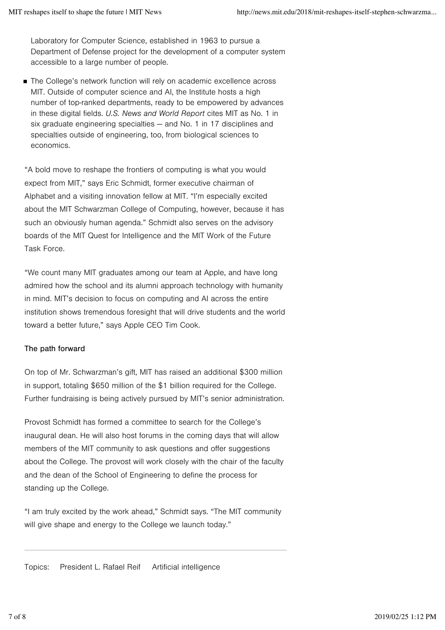Laboratory for Computer Science, established in 1963 to pursue a Department of Defense project for the development of a computer system accessible to a large number of people.

■ The College's network function will rely on academic excellence across MIT. Outside of computer science and AI, the Institute hosts a high number of top-ranked departments, ready to be empowered by advances in these digital fields. *U.S. News and World Report* cites MIT as No. 1 in six graduate engineering specialties — and No. 1 in 17 disciplines and specialties outside of engineering, too, from biological sciences to economics.

"A bold move to reshape the frontiers of computing is what you would expect from MIT," says Eric Schmidt, former executive chairman of Alphabet and a visiting innovation fellow at MIT. "I'm especially excited about the MIT Schwarzman College of Computing, however, because it has such an obviously human agenda." Schmidt also serves on the advisory boards of the MIT Quest for Intelligence and the MIT Work of the Future Task Force.

"We count many MIT graduates among our team at Apple, and have long admired how the school and its alumni approach technology with humanity in mind. MIT's decision to focus on computing and AI across the entire institution shows tremendous foresight that will drive students and the world toward a better future," says Apple CEO Tim Cook.

# The path forward

On top of Mr. Schwarzman's gift, MIT has raised an additional \$300 million in support, totaling \$650 million of the \$1 billion required for the College. Further fundraising is being actively pursued by MIT's senior administration.

Provost Schmidt has formed a committee to search for the College's inaugural dean. He will also host forums in the coming days that will allow members of the MIT community to ask questions and offer suggestions about the College. The provost will work closely with the chair of the faculty and the dean of the School of Engineering to define the process for standing up the College.

"I am truly excited by the work ahead," Schmidt says. "The MIT community will give shape and energy to the College we launch today."

Topics: President L. Rafael Reif Artificial intelligence